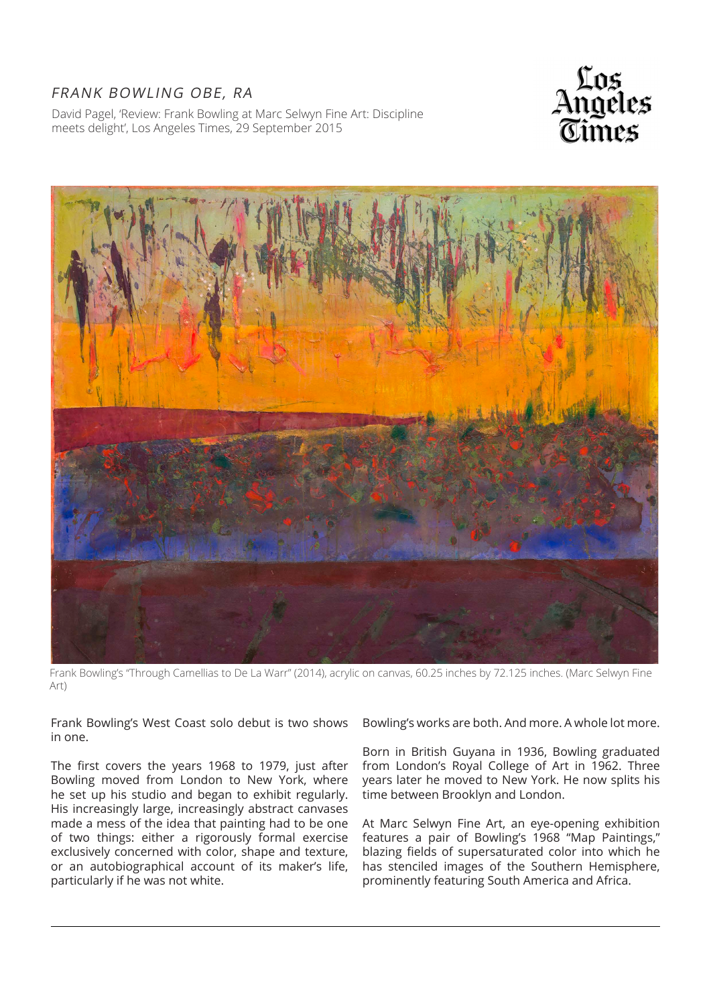## FRANK BOWLING OBE, RA

David Pagel, 'Review: Frank Bowling at Marc Selwyn Fine Art: Discipline meets delight', Los Angeles Times, 29 September 2015





Frank Bowling's "Through Camellias to De La Warr" (2014), acrylic on canvas, 60.25 inches by 72.125 inches. (Marc Selwyn Fine Art)

Frank Bowling's West Coast solo debut is two shows in one.

The first covers the years 1968 to 1979, just after Bowling moved from London to New York, where he set up his studio and began to exhibit regularly. His increasingly large, increasingly abstract canvases made a mess of the idea that painting had to be one of two things: either a rigorously formal exercise exclusively concerned with color, shape and texture, or an autobiographical account of its maker's life, particularly if he was not white.

Bowling's works are both. And more. A whole lot more.

Born in British Guyana in 1936, Bowling graduated from London's Royal College of Art in 1962. Three years later he moved to New York. He now splits his time between Brooklyn and London.

At Marc Selwyn Fine Art, an eye-opening exhibition features a pair of Bowling's 1968 "Map Paintings," blazing fields of supersaturated color into which he has stenciled images of the Southern Hemisphere, prominently featuring South America and Africa.